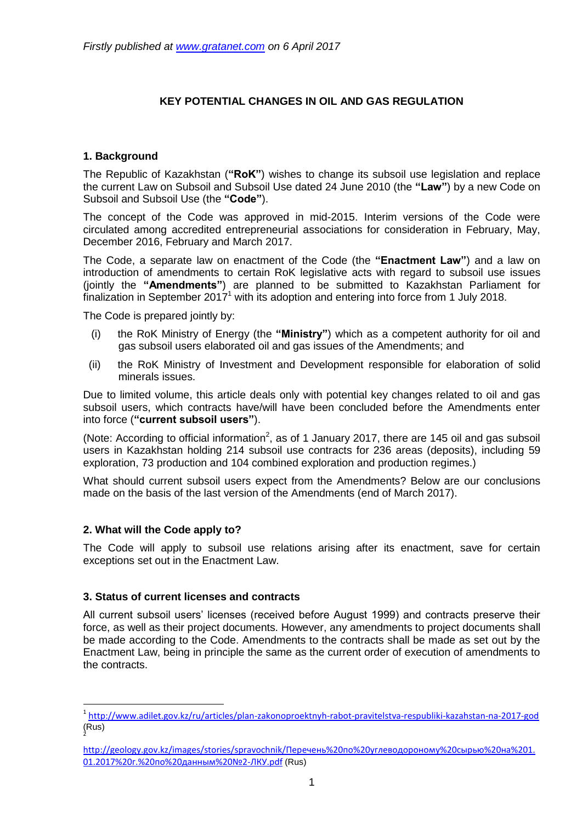# **KEY POTENTIAL CHANGES IN OIL AND GAS REGULATION**

## **1. Background**

The Republic of Kazakhstan (**"RoK"**) wishes to change its subsoil use legislation and replace the current Law on Subsoil and Subsoil Use dated 24 June 2010 (the **"Law"**) by a new Code on Subsoil and Subsoil Use (the **"Code"**).

The concept of the Code was approved in mid-2015. Interim versions of the Code were circulated among accredited entrepreneurial associations for consideration in February, May, December 2016, February and March 2017.

The Code, a separate law on enactment of the Code (the **"Enactment Law"**) and a law on introduction of amendments to certain RoK legislative acts with regard to subsoil use issues (jointly the **"Amendments"**) are planned to be submitted to Kazakhstan Parliament for finalization in September 2017<sup>1</sup> with its adoption and entering into force from 1 July 2018.

The Code is prepared jointly by:

- (i) the RoK Ministry of Energy (the **"Ministry"**) which as a competent authority for oil and gas subsoil users elaborated oil and gas issues of the Amendments; and
- (ii) the RoK Ministry of Investment and Development responsible for elaboration of solid minerals issues.

Due to limited volume, this article deals only with potential key changes related to oil and gas subsoil users, which contracts have/will have been concluded before the Amendments enter into force (**"current subsoil users"**).

(Note: According to official information<sup>2</sup>, as of 1 January 2017, there are 145 oil and gas subsoil users in Kazakhstan holding 214 subsoil use contracts for 236 areas (deposits), including 59 exploration, 73 production and 104 combined exploration and production regimes.)

What should current subsoil users expect from the Amendments? Below are our conclusions made on the basis of the last version of the Amendments (end of March 2017).

### **2. What will the Code apply to?**

1

The Code will apply to subsoil use relations arising after its enactment, save for certain exceptions set out in the Enactment Law.

### **3. Status of current licenses and contracts**

All current subsoil users' licenses (received before August 1999) and contracts preserve their force, as well as their project documents. However, any amendments to project documents shall be made according to the Code. Amendments to the contracts shall be made as set out by the Enactment Law, being in principle the same as the current order of execution of amendments to the contracts.

<sup>1</sup> <http://www.adilet.gov.kz/ru/articles/plan-zakonoproektnyh-rabot-pravitelstva-respubliki-kazahstan-na-2017-god> (Rus) 2

http://geology.gov.kz/images/stories/spravochnik[/Перечень%20по%20углеводороному%20сырью%20на%201.](http://geology.gov.kz/images/stories/spravochnik/%D0%9F%D0%B5%D1%80%D0%B5%D1%87%D0%B5%D0%BD%D1%8C%20%D0%BF%D0%BE%20%D1%83%D0%B3%D0%BB%D0%B5%D0%B2%D0%BE%D0%B4%D0%BE%D1%80%D0%BE%D0%BD%D0%BE%D0%BC%D1%83%20%D1%81%D1%8B%D1%80%D1%8C%D1%8E%20%D0%BD%D0%B0%201.01.2017%20%D0%B3.%20%D0%BF%D0%BE%20%D0%B4%D0%B0%D0%BD%D0%BD%D1%8B%D0%BC%20%E2%84%962-%D0%9B%D0%9A%D0%A3.pdf) [01.2017%20г.%20по%20данным%20№2](http://geology.gov.kz/images/stories/spravochnik/%D0%9F%D0%B5%D1%80%D0%B5%D1%87%D0%B5%D0%BD%D1%8C%20%D0%BF%D0%BE%20%D1%83%D0%B3%D0%BB%D0%B5%D0%B2%D0%BE%D0%B4%D0%BE%D1%80%D0%BE%D0%BD%D0%BE%D0%BC%D1%83%20%D1%81%D1%8B%D1%80%D1%8C%D1%8E%20%D0%BD%D0%B0%201.01.2017%20%D0%B3.%20%D0%BF%D0%BE%20%D0%B4%D0%B0%D0%BD%D0%BD%D1%8B%D0%BC%20%E2%84%962-%D0%9B%D0%9A%D0%A3.pdf)-ЛКУ.pdf (Rus)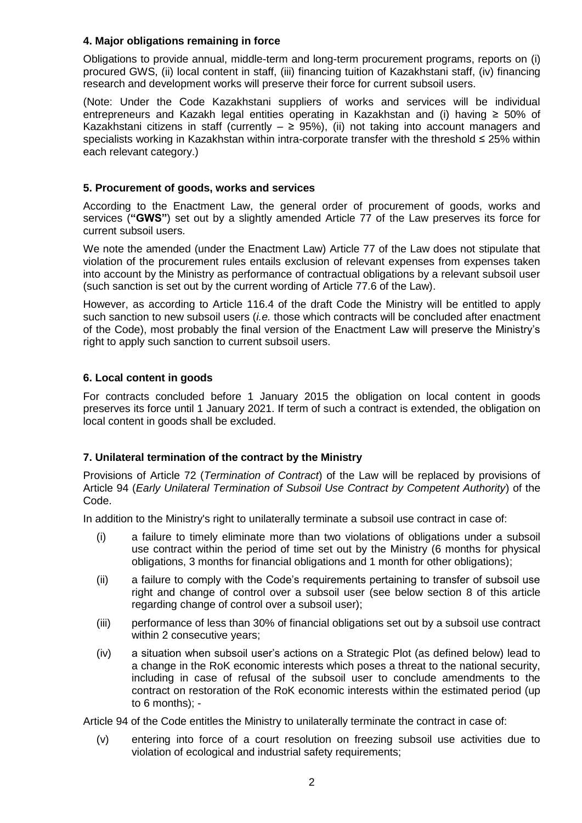## **4. Major obligations remaining in force**

Obligations to provide annual, middle-term and long-term procurement programs, reports on (i) procured GWS, (ii) local content in staff, (iii) financing tuition of Kazakhstani staff, (iv) financing research and development works will preserve their force for current subsoil users.

(Note: Under the Code Kazakhstani suppliers of works and services will be individual entrepreneurs and Kazakh legal entities operating in Kazakhstan and (i) having ≥ 50% of Kazakhstani citizens in staff (currently  $- \geq 95\%$ ), (ii) not taking into account managers and specialists working in Kazakhstan within intra-corporate transfer with the threshold ≤ 25% within each relevant category.)

## **5. Procurement of goods, works and services**

According to the Enactment Law, the general order of procurement of goods, works and services (**"GWS"**) set out by a slightly amended Article 77 of the Law preserves its force for current subsoil users.

We note the amended (under the Enactment Law) Article 77 of the Law does not stipulate that violation of the procurement rules entails exclusion of relevant expenses from expenses taken into account by the Ministry as performance of contractual obligations by a relevant subsoil user (such sanction is set out by the current wording of Article 77.6 of the Law).

However, as according to Article 116.4 of the draft Code the Ministry will be entitled to apply such sanction to new subsoil users (*i.e.* those which contracts will be concluded after enactment of the Code), most probably the final version of the Enactment Law will preserve the Ministry's right to apply such sanction to current subsoil users.

## **6. Local content in goods**

For contracts concluded before 1 January 2015 the obligation on local content in goods preserves its force until 1 January 2021. If term of such a contract is extended, the obligation on local content in goods shall be excluded.

## **7. Unilateral termination of the contract by the Ministry**

Provisions of Article 72 (*Termination of Contract*) of the Law will be replaced by provisions of Article 94 (*Early Unilateral Termination of Subsoil Use Contract by Competent Authority*) of the Code.

In addition to the Ministry's right to unilaterally terminate a subsoil use contract in case of:

- (i) a failure to timely eliminate more than two violations of obligations under a subsoil use contract within the period of time set out by the Ministry (6 months for physical obligations, 3 months for financial obligations and 1 month for other obligations);
- (ii) a failure to comply with the Code's requirements pertaining to transfer of subsoil use right and change of control over a subsoil user (see below section 8 of this article regarding change of control over a subsoil user);
- (iii) performance of less than 30% of financial obligations set out by a subsoil use contract within 2 consecutive years;
- (iv) a situation when subsoil user's actions on a Strategic Plot (as defined below) lead to a change in the RoK economic interests which poses a threat to the national security, including in case of refusal of the subsoil user to conclude amendments to the contract on restoration of the RoK economic interests within the estimated period (up to 6 months); -

Article 94 of the Code entitles the Ministry to unilaterally terminate the contract in case of:

(v) entering into force of a court resolution on freezing subsoil use activities due to violation of ecological and industrial safety requirements;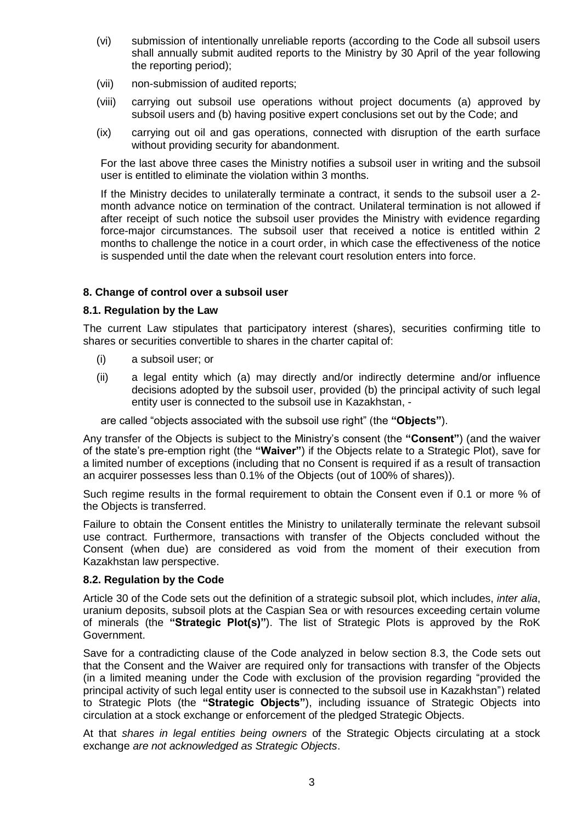- (vi) submission of intentionally unreliable reports (according to the Code all subsoil users shall annually submit audited reports to the Ministry by 30 April of the year following the reporting period);
- (vii) non-submission of audited reports;
- (viii) carrying out subsoil use operations without project documents (a) approved by subsoil users and (b) having positive expert conclusions set out by the Code; and
- (ix) carrying out oil and gas operations, connected with disruption of the earth surface without providing security for abandonment.

For the last above three cases the Ministry notifies a subsoil user in writing and the subsoil user is entitled to eliminate the violation within 3 months.

If the Ministry decides to unilaterally terminate a contract, it sends to the subsoil user a 2 month advance notice on termination of the contract. Unilateral termination is not allowed if after receipt of such notice the subsoil user provides the Ministry with evidence regarding force-major circumstances. The subsoil user that received a notice is entitled within 2 months to challenge the notice in a court order, in which case the effectiveness of the notice is suspended until the date when the relevant court resolution enters into force.

#### **8. Change of control over a subsoil user**

#### **8.1. Regulation by the Law**

The current Law stipulates that participatory interest (shares), securities confirming title to shares or securities convertible to shares in the charter capital of:

- (i) a subsoil user; or
- (ii) a legal entity which (a) may directly and/or indirectly determine and/or influence decisions adopted by the subsoil user, provided (b) the principal activity of such legal entity user is connected to the subsoil use in Kazakhstan, -

are called "objects associated with the subsoil use right" (the **"Objects"**).

Any transfer of the Objects is subject to the Ministry's consent (the **"Consent"**) (and the waiver of the state's pre-emption right (the **"Waiver"**) if the Objects relate to a Strategic Plot), save for a limited number of exceptions (including that no Consent is required if as a result of transaction an acquirer possesses less than 0.1% of the Objects (out of 100% of shares)).

Such regime results in the formal requirement to obtain the Consent even if 0.1 or more % of the Objects is transferred.

Failure to obtain the Consent entitles the Ministry to unilaterally terminate the relevant subsoil use contract. Furthermore, transactions with transfer of the Objects concluded without the Consent (when due) are considered as void from the moment of their execution from Kazakhstan law perspective.

#### **8.2. Regulation by the Code**

Article 30 of the Code sets out the definition of a strategic subsoil plot, which includes, *inter alia*, uranium deposits, subsoil plots at the Caspian Sea or with resources exceeding certain volume of minerals (the **"Strategic Plot(s)"**). The list of Strategic Plots is approved by the RoK Government.

Save for a contradicting clause of the Code analyzed in below section 8.3, the Code sets out that the Consent and the Waiver are required only for transactions with transfer of the Objects (in a limited meaning under the Code with exclusion of the provision regarding "provided the principal activity of such legal entity user is connected to the subsoil use in Kazakhstan") related to Strategic Plots (the **"Strategic Objects"**), including issuance of Strategic Objects into circulation at a stock exchange or enforcement of the pledged Strategic Objects.

At that *shares in legal entities being owners* of the Strategic Objects circulating at a stock exchange *are not acknowledged as Strategic Objects*.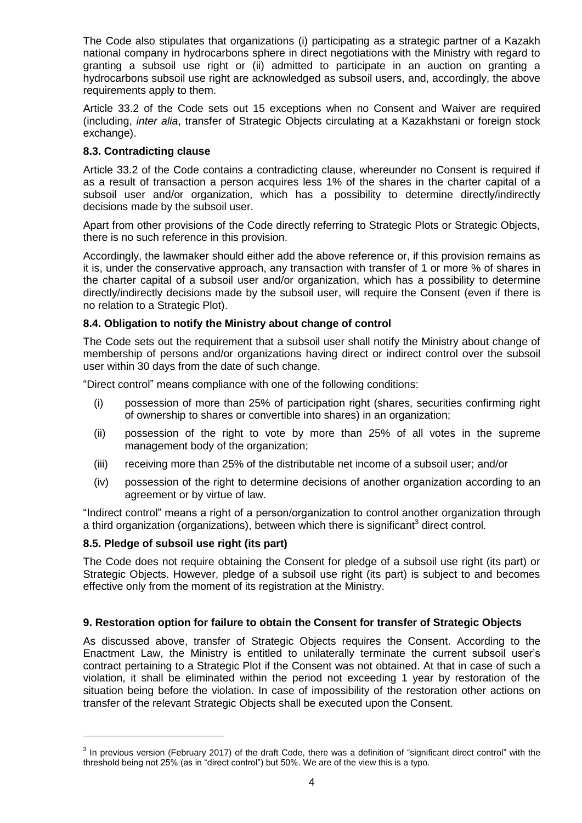The Code also stipulates that organizations (i) participating as a strategic partner of a Kazakh national company in hydrocarbons sphere in direct negotiations with the Ministry with regard to granting a subsoil use right or (ii) admitted to participate in an auction on granting a hydrocarbons subsoil use right are acknowledged as subsoil users, and, accordingly, the above requirements apply to them.

Article 33.2 of the Code sets out 15 exceptions when no Consent and Waiver are required (including, *inter alia*, transfer of Strategic Objects circulating at a Kazakhstani or foreign stock exchange).

### **8.3. Contradicting clause**

Article 33.2 of the Code contains a contradicting clause, whereunder no Consent is required if as a result of transaction a person acquires less 1% of the shares in the charter capital of a subsoil user and/or organization, which has a possibility to determine directly/indirectly decisions made by the subsoil user.

Apart from other provisions of the Code directly referring to Strategic Plots or Strategic Objects, there is no such reference in this provision.

Accordingly, the lawmaker should either add the above reference or, if this provision remains as it is, under the conservative approach, any transaction with transfer of 1 or more % of shares in the charter capital of a subsoil user and/or organization, which has a possibility to determine directly/indirectly decisions made by the subsoil user, will require the Consent (even if there is no relation to a Strategic Plot).

## **8.4. Obligation to notify the Ministry about change of control**

The Code sets out the requirement that a subsoil user shall notify the Ministry about change of membership of persons and/or organizations having direct or indirect control over the subsoil user within 30 days from the date of such change.

"Direct control" means compliance with one of the following conditions:

- (i) possession of more than 25% of participation right (shares, securities confirming right of ownership to shares or convertible into shares) in an organization;
- (ii) possession of the right to vote by more than 25% of all votes in the supreme management body of the organization;
- (iii) receiving more than 25% of the distributable net income of a subsoil user; and/or
- (iv) possession of the right to determine decisions of another organization according to an agreement or by virtue of law.

"Indirect control" means a right of a person/organization to control another organization through a third organization (organizations), between which there is significant<sup>3</sup> direct control.

### **8.5. Pledge of subsoil use right (its part)**

**.** 

The Code does not require obtaining the Consent for pledge of a subsoil use right (its part) or Strategic Objects. However, pledge of a subsoil use right (its part) is subject to and becomes effective only from the moment of its registration at the Ministry.

### **9. Restoration option for failure to obtain the Consent for transfer of Strategic Objects**

As discussed above, transfer of Strategic Objects requires the Consent. According to the Enactment Law, the Ministry is entitled to unilaterally terminate the current subsoil user's contract pertaining to a Strategic Plot if the Consent was not obtained. At that in case of such a violation, it shall be eliminated within the period not exceeding 1 year by restoration of the situation being before the violation. In case of impossibility of the restoration other actions on transfer of the relevant Strategic Objects shall be executed upon the Consent.

 $3$  In previous version (February 2017) of the draft Code, there was a definition of "significant direct control" with the threshold being not 25% (as in "direct control") but 50%. We are of the view this is a typo.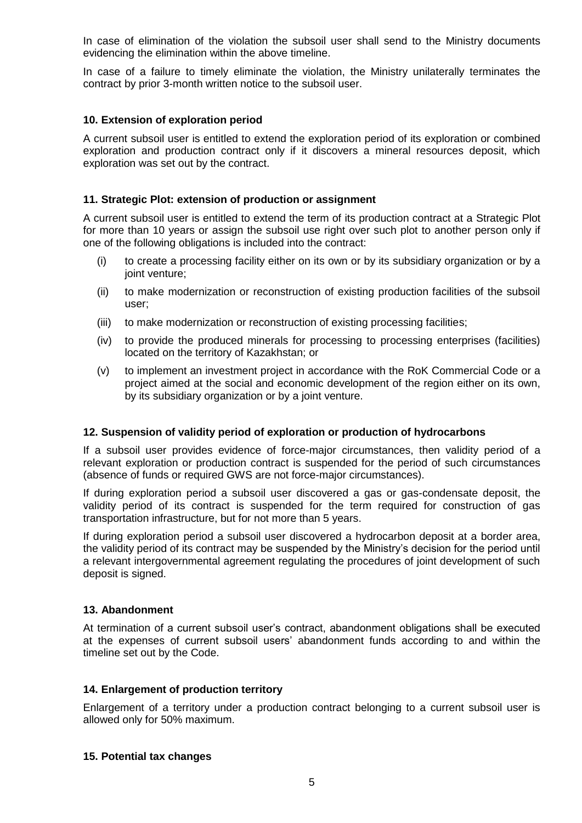In case of elimination of the violation the subsoil user shall send to the Ministry documents evidencing the elimination within the above timeline.

In case of a failure to timely eliminate the violation, the Ministry unilaterally terminates the contract by prior 3-month written notice to the subsoil user.

### **10. Extension of exploration period**

A current subsoil user is entitled to extend the exploration period of its exploration or combined exploration and production contract only if it discovers a mineral resources deposit, which exploration was set out by the contract.

### **11. Strategic Plot: extension of production or assignment**

A current subsoil user is entitled to extend the term of its production contract at a Strategic Plot for more than 10 years or assign the subsoil use right over such plot to another person only if one of the following obligations is included into the contract:

- (i) to create a processing facility either on its own or by its subsidiary organization or by a joint venture;
- (ii) to make modernization or reconstruction of existing production facilities of the subsoil user;
- (iii) to make modernization or reconstruction of existing processing facilities;
- (iv) to provide the produced minerals for processing to processing enterprises (facilities) located on the territory of Kazakhstan; or
- (v) to implement an investment project in accordance with the RoK Commercial Code or a project aimed at the social and economic development of the region either on its own, by its subsidiary organization or by a joint venture.

### **12. Suspension of validity period of exploration or production of hydrocarbons**

If a subsoil user provides evidence of force-major circumstances, then validity period of a relevant exploration or production contract is suspended for the period of such circumstances (absence of funds or required GWS are not force-major circumstances).

If during exploration period a subsoil user discovered a gas or gas-condensate deposit, the validity period of its contract is suspended for the term required for construction of gas transportation infrastructure, but for not more than 5 years.

If during exploration period a subsoil user discovered a hydrocarbon deposit at a border area, the validity period of its contract may be suspended by the Ministry's decision for the period until a relevant intergovernmental agreement regulating the procedures of joint development of such deposit is signed.

### **13. Abandonment**

At termination of a current subsoil user's contract, abandonment obligations shall be executed at the expenses of current subsoil users' abandonment funds according to and within the timeline set out by the Code.

## **14. Enlargement of production territory**

Enlargement of a territory under a production contract belonging to a current subsoil user is allowed only for 50% maximum.

#### **15. Potential tax changes**